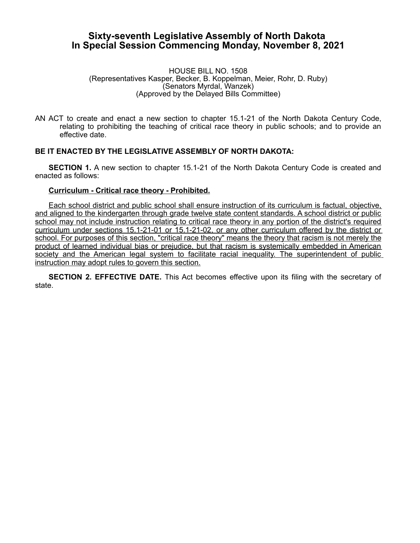## **Sixty-seventh Legislative Assembly of North Dakota In Special Session Commencing Monday, November 8, 2021**

## HOUSE BILL NO. 1508 (Representatives Kasper, Becker, B. Koppelman, Meier, Rohr, D. Ruby) (Senators Myrdal, Wanzek) (Approved by the Delayed Bills Committee)

AN ACT to create and enact a new section to chapter 15.1-21 of the North Dakota Century Code, relating to prohibiting the teaching of critical race theory in public schools; and to provide an effective date.

## **BE IT ENACTED BY THE LEGISLATIVE ASSEMBLY OF NORTH DAKOTA:**

**SECTION 1.** A new section to chapter 15.1-21 of the North Dakota Century Code is created and enacted as follows:

## **Curriculum - Critical race theory - Prohibited.**

Each school district and public school shall ensure instruction of its curriculum is factual, objective, and aligned to the kindergarten through grade twelve state content standards. A school district or public school may not include instruction relating to critical race theory in any portion of the district's required curriculum under sections 15.1-21-01 or 15.1-21-02, or any other curriculum offered by the district or school. For purposes of this section, "critical race theory" means the theory that racism is not merely the product of learned individual bias or prejudice, but that racism is systemically embedded in American society and the American legal system to facilitate racial inequality. The superintendent of public instruction may adopt rules to govern this section.

**SECTION 2. EFFECTIVE DATE.** This Act becomes effective upon its filing with the secretary of state.